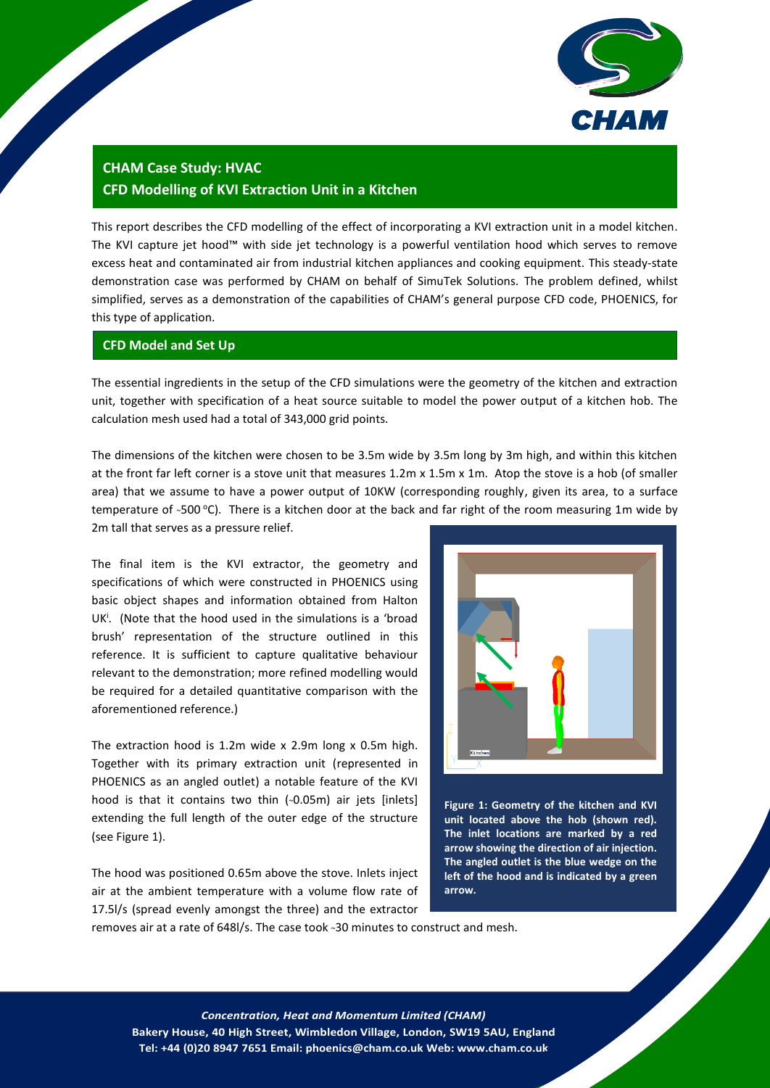

# **CHAM Case Study: HVAC [CFD Modelling of KVI Extraction Unit in a Kitchen](http://www.cham.co.uk/_docs/pdfs/case_studies/HVAC/CHAM_PHOENICS_Case_Study_HVAC_Extractor_Hood.pdf)**

This report describes the CFD modelling of the effect of incorporating a KVI extraction unit in a model kitchen. The KVI capture jet hood™ with side jet technology is a powerful ventilation hood which serves to remove excess heat and contaminated air from industrial kitchen appliances and cooking equipment. This steady-state demonstration case was performed by CHAM on behalf of SimuTek Solutions. The problem defined, whilst simplified, serves as a demonstration of the capabilities of CHAM's general purpose CFD code, PHOENICS, for this type of application.

## **CFD Model and Set Up**

The essential ingredients in the setup of the CFD simulations were the geometry of the kitchen and extraction unit, together with specification of a heat source suitable to model the power output of a kitchen hob. The calculation mesh used had a total of 343,000 grid points.

The dimensions of the kitchen were chosen to be 3.5m wide by 3.5m long by 3m high, and within this kitchen at the front far left corner is a stove unit that measures 1.2m x 1.5m x 1m. Atop the stove is a hob (of smaller area) that we assume to have a power output of 10KW (corresponding roughly, given its area, to a surface temperature of ~500 °C). There is a kitchen door at the back and far right of the room measuring 1m wide by 2m tall that serves as a pressure relief.

The final item is the KVI extractor, the geometry and specifications of which were constructed in PHOENICS using basic object shapes and information obtained from Halton UK<sup>i</sup>. (Note that the hood used in the simulations is a 'broad brush' representation of the structure outlined in this reference. It is sufficient to capture qualitative behaviour relevant to the demonstration; more refined modelling would be required for a detailed quantitative comparison with the aforementioned reference.)

The extraction hood is 1.2m wide x 2.9m long x 0.5m high. Together with its primary extraction unit (represented in PHOENICS as an angled outlet) a notable feature of the KVI hood is that it contains two thin (~0.05m) air jets [inlets] extending the full length of the outer edge of the structure (see Figure 1).

The hood was positioned 0.65m above the stove. Inlets inject air at the ambient temperature with a volume flow rate of 17.5l/s (spread evenly amongst the three) and the extractor



**Figure 1: Geometry of the kitchen and KVI unit located above the hob (shown red). The inlet locations are marked by a red arrow showing the direction of air injection. The angled outlet is the blue wedge on the left of the hood and is indicated by a green arrow.**

removes air at a rate of 648l/s. The case took ~30 minutes to construct and mesh.

1 *Concentration, Heat and Momentum Limited (CHAM)* **Bakery House, 40 High Street, Wimbledon Village, London, SW19 5AU, England Tel: +44 (0)20 8947 7651 Email: phoenics@cham.co.uk Web: www.cham.co.uk**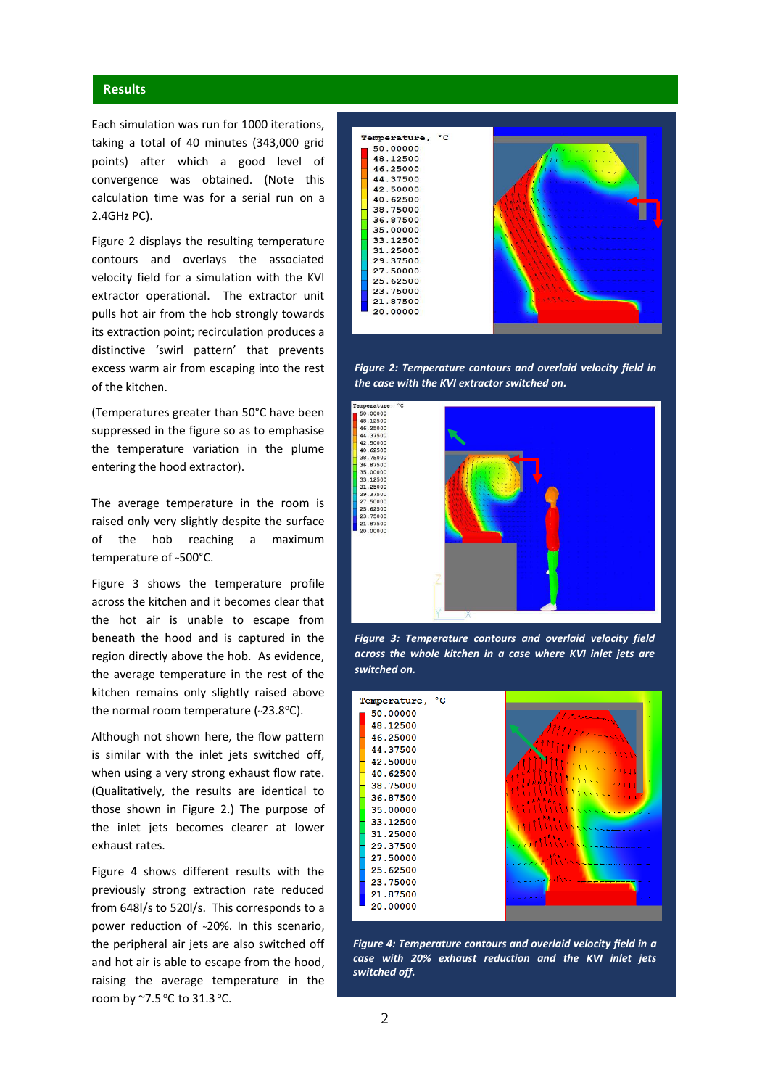### **Results**

Each simulation was run for 1000 iterations, taking a total of 40 minutes (343,000 grid points) after which a good level of convergence was obtained. (Note this calculation time was for a serial run on a 2.4GHz PC).

Figure 2 displays the resulting temperature contours and overlays the associated velocity field for a simulation with the KVI extractor operational. The extractor unit pulls hot air from the hob strongly towards its extraction point; recirculation produces a distinctive 'swirl pattern' that prevents excess warm air from escaping into the rest of the kitchen.

(Temperatures greater than 50°C have been suppressed in the figure so as to emphasise the temperature variation in the plume entering the hood extractor).

The average temperature in the room is raised only very slightly despite the surface of the hob reaching a maximum temperature of ~500°C.

Figure 3 shows the temperature profile across the kitchen and it becomes clear that the hot air is unable to escape from beneath the hood and is captured in the region directly above the hob. As evidence, the average temperature in the rest of the kitchen remains only slightly raised above the normal room temperature (~23.8°C).

Although not shown here, the flow pattern is similar with the inlet jets switched off, when using a very strong exhaust flow rate. (Qualitatively, the results are identical to those shown in Figure 2.) The purpose of the inlet jets becomes clearer at lower exhaust rates.

Figure 4 shows different results with the previously strong extraction rate reduced from 648l/s to 520l/s. This corresponds to a power reduction of ~20%. In this scenario, the peripheral air jets are also switched off and hot air is able to escape from the hood, raising the average temperature in the room by  $\sim$ 7.5 °C to 31.3 °C.







*Figure 3: Temperature contours and overlaid velocity field across the whole kitchen in a case where KVI inlet jets are switched on.*



*Figure 4: Temperature contours and overlaid velocity field in a case with 20% exhaust reduction and the KVI inlet jets switched off.*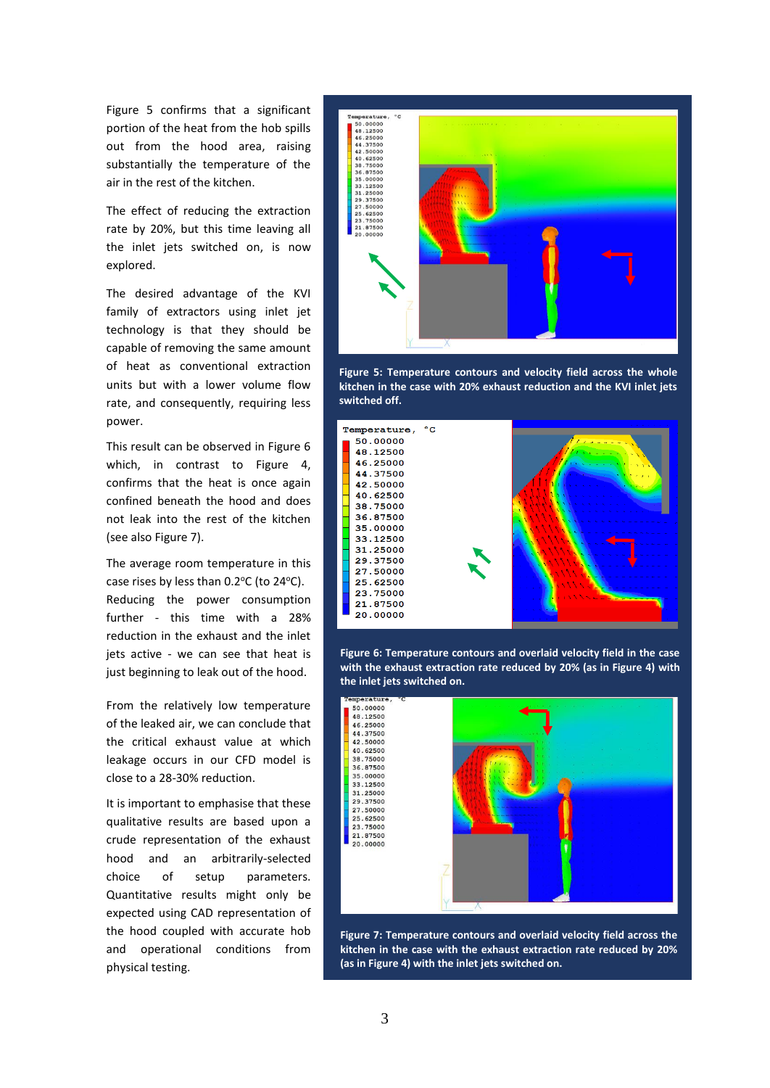Figure 5 confirms that a significant portion of the heat from the hob spills out from the hood area, raising substantially the temperature of the air in the rest of the kitchen.

The effect of reducing the extraction rate by 20%, but this time leaving all the inlet jets switched on, is now explored.

The desired advantage of the KVI family of extractors using inlet jet technology is that they should be capable of removing the same amount of heat as conventional extraction units but with a lower volume flow rate, and consequently, requiring less power.

This result can be observed in Figure 6 which, in contrast to Figure 4, confirms that the heat is once again confined beneath the hood and does not leak into the rest of the kitchen (see also Figure 7).

The average room temperature in this case rises by less than  $0.2^{\circ}$ C (to  $24^{\circ}$ C). Reducing the power consumption further - this time with a 28% reduction in the exhaust and the inlet jets active - we can see that heat is just beginning to leak out of the hood.

From the relatively low temperature of the leaked air, we can conclude that the critical exhaust value at which leakage occurs in our CFD model is close to a 28-30% reduction.

It is important to emphasise that these qualitative results are based upon a crude representation of the exhaust hood and an arbitrarily-selected choice of setup parameters. Quantitative results might only be expected using CAD representation of the hood coupled with accurate hob and operational conditions from physical testing.



**Figure 5: Temperature contours and velocity field across the whole kitchen in the case with 20% exhaust reduction and the KVI inlet jets switched off.** 



**Figure 6: Temperature contours and overlaid velocity field in the case with the exhaust extraction rate reduced by 20% (as in Figure 4) with the inlet jets switched on.**



**Figure 7: Temperature contours and overlaid velocity field across the kitchen in the case with the exhaust extraction rate reduced by 20% (as in Figure 4) with the inlet jets switched on.**